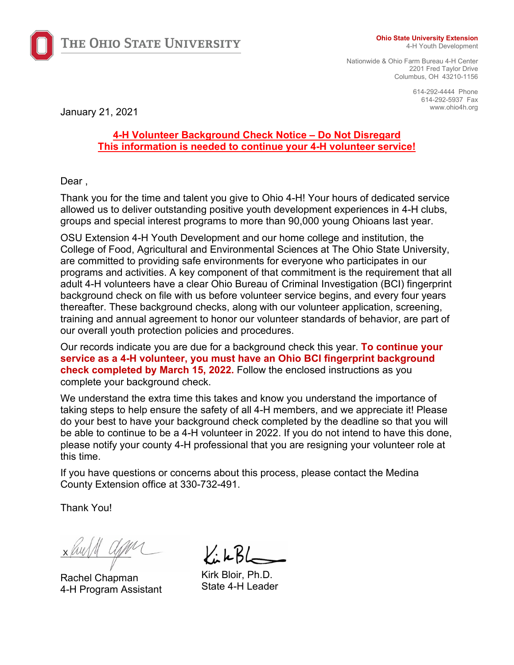

THE OHIO STATE UNIVERSITY

#### **Ohio State University Extension**

4-H Youth Development

Nationwide & Ohio Farm Bureau 4-H Center 2201 Fred Taylor Drive Columbus, OH 43210-1156

> 614-292-4444 Phone 614-292-5937 Fax

www.ohio4h.org January 21, 2021

# **4-H Volunteer Background Check Notice – Do Not Disregard This information is needed to continue your 4-H volunteer service!**

Dear.

Thank you for the time and talent you give to Ohio 4-H! Your hours of dedicated service allowed us to deliver outstanding positive youth development experiences in 4-H clubs, groups and special interest programs to more than 90,000 young Ohioans last year.

OSU Extension 4-H Youth Development and our home college and institution, the College of Food, Agricultural and Environmental Sciences at The Ohio State University, are committed to providing safe environments for everyone who participates in our programs and activities. A key component of that commitment is the requirement that all adult 4-H volunteers have a clear Ohio Bureau of Criminal Investigation (BCI) fingerprint background check on file with us before volunteer service begins, and every four years thereafter. These background checks, along with our volunteer application, screening, training and annual agreement to honor our volunteer standards of behavior, are part of our overall youth protection policies and procedures.

Our records indicate you are due for a background check this year. **To continue your service as a 4-H volunteer, you must have an Ohio BCI fingerprint background check completed by March 15, 2022.** Follow the enclosed instructions as you complete your background check.

We understand the extra time this takes and know you understand the importance of taking steps to help ensure the safety of all 4-H members, and we appreciate it! Please do your best to have your background check completed by the deadline so that you will be able to continue to be a 4-H volunteer in 2022. If you do not intend to have this done, please notify your county 4-H professional that you are resigning your volunteer role at this time.

If you have questions or concerns about this process, please contact the Medina County Extension office at 330-732-491.

Thank You!

Rachel Chapman 4-H Program Assistant

KikBL

Kirk Bloir, Ph.D. State 4-H Leader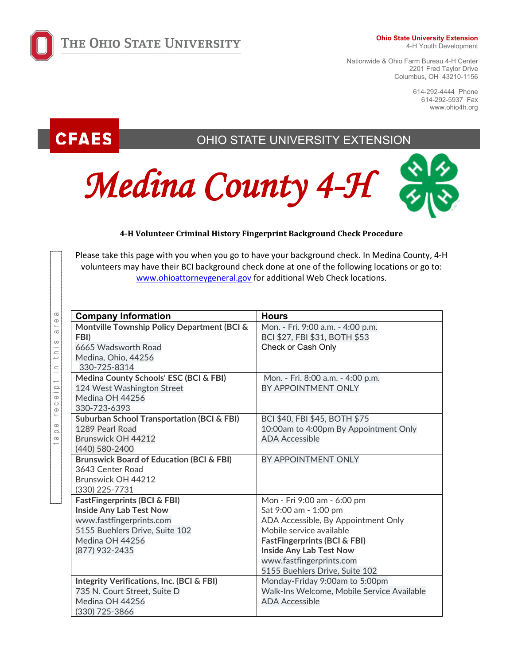

#### **Ohio State University Extension**

4-H Youth Development

Nationwide & Ohio Farm Bureau 4-H Center 2201 Fred Taylor Drive Columbus, OH 43210-1156

> 614-292-4444 Phone 614-292-5937 Fax www.ohio4h.org

# **CFAES**

tape receipt in this area

 $c \ominus i$ 

 $\circledcirc$  $\circ$  $\Omega$  $\frac{1}{2}$ 

 $\sigma$  $\cup$  $\sigma$  $\omega$  $\frac{1}{2}$  $\equiv$ 

# OHIO STATE UNIVERSITY EXTENSION





# **4-H Volunteer Criminal History Fingerprint Background Check Procedure**

Please take this page with you when you go to have your background check. In Medina County, 4-H volunteers may have their BCI background check done at one of the following locations or go to: [www.ohioattorneygeneral.gov](http://www.ohioattorneygeneral.gov/) for additional Web Check locations.

| <b>Company Information</b>                            | <b>Hours</b>                               |
|-------------------------------------------------------|--------------------------------------------|
| Montville Township Policy Department (BCI &           | Mon. - Fri. 9:00 a.m. - 4:00 p.m.          |
| FBI)                                                  | BCI \$27, FBI \$31, BOTH \$53              |
| 6665 Wadsworth Road                                   | Check or Cash Only                         |
| Medina, Ohio, 44256                                   |                                            |
| 330-725-8314                                          |                                            |
| Medina County Schools' ESC (BCI & FBI)                | Mon. - Fri. 8:00 a.m. - 4:00 p.m.          |
| 124 West Washington Street                            | BY APPOINTMENT ONLY                        |
| Medina OH 44256                                       |                                            |
| 330-723-6393                                          |                                            |
| <b>Suburban School Transportation (BCI &amp; FBI)</b> | BCI \$40, FBI \$45, BOTH \$75              |
| 1289 Pearl Road                                       | 10:00am to 4:00pm By Appointment Only      |
| Brunswick OH 44212                                    | <b>ADA Accessible</b>                      |
| (440) 580-2400                                        |                                            |
| <b>Brunswick Board of Education (BCI &amp; FBI)</b>   | BY APPOINTMENT ONLY                        |
| 3643 Center Road                                      |                                            |
| Brunswick OH 44212                                    |                                            |
| (330) 225-7731                                        |                                            |
| <b>FastFingerprints (BCI &amp; FBI)</b>               | Mon - Fri 9:00 am - 6:00 pm                |
| <b>Inside Any Lab Test Now</b>                        | Sat 9:00 am - 1:00 pm                      |
| www.fastfingerprints.com                              | ADA Accessible, By Appointment Only        |
| 5155 Buehlers Drive, Suite 102                        | Mobile service available                   |
| Medina OH 44256                                       | <b>FastFingerprints (BCI &amp; FBI)</b>    |
| (877) 932-2435                                        | <b>Inside Any Lab Test Now</b>             |
|                                                       | www.fastfingerprints.com                   |
|                                                       | 5155 Buehlers Drive, Suite 102             |
| <b>Integrity Verifications, Inc. (BCI &amp; FBI)</b>  | Monday-Friday 9:00am to 5:00pm             |
| 735 N. Court Street, Suite D                          | Walk-Ins Welcome, Mobile Service Available |
| Medina OH 44256                                       | <b>ADA Accessible</b>                      |
| (330) 725-3866                                        |                                            |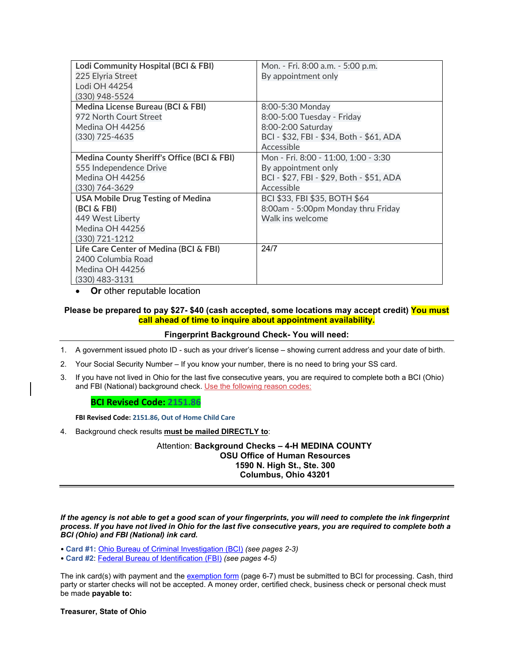| Lodi Community Hospital (BCI & FBI)        | Mon. - Fri. 8:00 a.m. - 5:00 p.m.        |
|--------------------------------------------|------------------------------------------|
| 225 Elyria Street                          | By appointment only                      |
| Lodi OH 44254                              |                                          |
| (330) 948-5524                             |                                          |
| Medina License Bureau (BCI & FBI)          | 8:00-5:30 Monday                         |
| 972 North Court Street                     | 8:00-5:00 Tuesday - Friday               |
| Medina OH 44256                            | 8:00-2:00 Saturday                       |
| (330) 725-4635                             | BCI - \$32, FBI - \$34, Both - \$61, ADA |
|                                            | Accessible                               |
| Medina County Sheriff's Office (BCI & FBI) | Mon - Fri. 8:00 - 11:00, 1:00 - 3:30     |
| 555 Independence Drive                     | By appointment only                      |
| Medina OH 44256                            | BCI - \$27, FBI - \$29, Both - \$51, ADA |
| (330) 764-3629                             | Accessible                               |
| <b>USA Mobile Drug Testing of Medina</b>   | BCI \$33, FBI \$35, BOTH \$64            |
| (BCI & FBI)                                | 8:00am - 5:00pm Monday thru Friday       |
| 449 West Liberty                           | Walk ins welcome                         |
| Medina OH 44256                            |                                          |
| (330) 721-1212                             |                                          |
| Life Care Center of Medina (BCI & FBI)     | 24/7                                     |
| 2400 Columbia Road                         |                                          |
| Medina OH 44256                            |                                          |
| (330) 483-3131                             |                                          |

• **Or** other reputable location

## **Please be prepared to pay \$27- \$40 (cash accepted, some locations may accept credit) You must call ahead of time to inquire about appointment availability.**

### **Fingerprint Background Check- You will need:**

1. A government issued photo ID - such as your driver's license – showing current address and your date of birth.

2. Your Social Security Number – If you know your number, there is no need to bring your SS card.

3. If you have not lived in Ohio for the last five consecutive years, you are required to complete both a BCI (Ohio) and FBI (National) background check. Use the following reason codes:

#### **BCI Revised Code: 2151.86**

**FBI Revised Code: 2151.86, Out of Home Child Care**

4. Background check results **must be mailed DIRECTLY to**:

Attention: **Background Checks – 4-H MEDINA COUNTY OSU Office of Human Resources 1590 N. High St., Ste. 300 Columbus, Ohio 43201**

*If the agency is not able to get a good scan of your fingerprints, you will need to complete the ink fingerprint process. If you have not lived in Ohio for the last five consecutive years, you are required to complete both a BCI (Ohio) and FBI (National) ink card.* 

- **Card #1:** Ohio [Bureau of Criminal Investigation \(BCI\)](https://www.ohioattorneygeneral.gov/Files/Forms/Forms-for-BCI-Criminal-Records-and-Background-Chec/Background-Check-Forms/BCI-fingerprint-card) *(see pages 2-3)*
- **Card #2**[: Federal Bureau of](https://www.ohioattorneygeneral.gov/Files/Forms/Forms-for-BCI-Criminal-Records-and-Background-Chec/Background-Check-Forms/FBI-fingerprint-card) Identification (FBI) *(see pages 4-5)*

The ink card(s) with payment and th[e exemption form](https://www.ohioattorneygeneral.gov/Files/Forms/Forms-for-BCI-Criminal-Records-and-Background-Chec/Background-Check-Forms/Request-for-Exemption-from-Electronic-Fingerprint.aspx) (page 6-7) must be submitted to BCI for processing. Cash, third party or starter checks will not be accepted. A money order, certified check, business check or personal check must be made **payable to:**

**Treasurer, State of Ohio**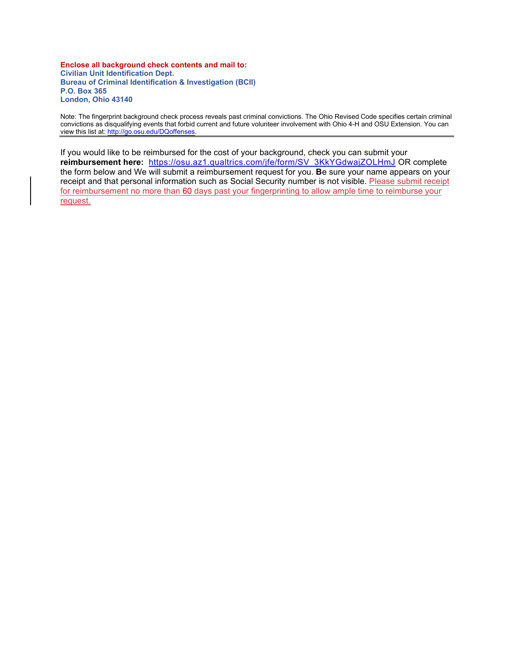**Enclose all background check contents and mail to: Civilian Unit Identification Dept. Bureau of Criminal Identification & Investigation (BCII) P.O. Box 365 London, Ohio 43140**

Note: The fingerprint background check process reveals past criminal convictions. The Ohio Revised Code specifies certain criminal convictions as disqualifying events that forbid current and future volunteer involvement with Ohio 4-H and OSU Extension. You can view this list at: [http://go.osu.edu/DQoffenses.](http://go.osu.edu/DQoffenses)

If you would like to be reimbursed for the cost of your background, check you can submit your **reimbursement here:** [https://osu.az1.qualtrics.com/jfe/form/SV\\_3KkYGdwajZOLHmJ](https://osu.az1.qualtrics.com/jfe/form/SV_3KkYGdwajZOLHmJ) OR complete the form below and We will submit a reimbursement request for you. **B**e sure your name appears on your receipt and that personal information such as Social Security number is not visible. Please submit receipt for reimbursement no more than 60 days past your fingerprinting to allow ample time to reimburse your request.